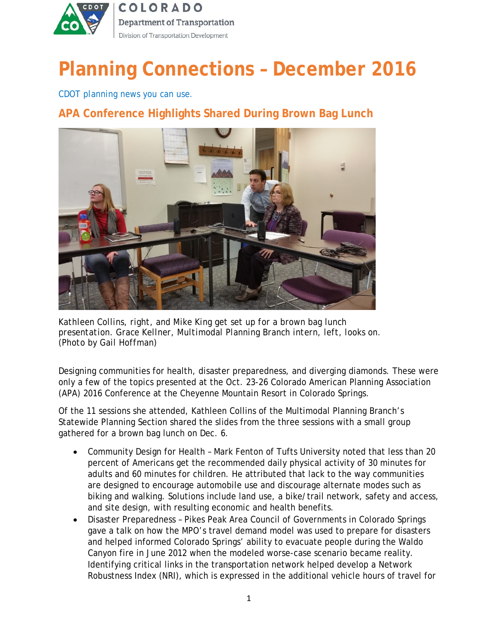

# **Planning Connections – December 2016**

*CDOT planning news you can use.*

## **APA Conference Highlights Shared During Brown Bag Lunch**



*Kathleen Collins, right, and Mike King get set up for a brown bag lunch presentation. Grace Kellner, Multimodal Planning Branch intern, left, looks on. (Photo by Gail Hoffman)*

Designing communities for health, disaster preparedness, and diverging diamonds. These were only a few of the topics presented at the Oct. 23-26 Colorado American Planning Association (APA) 2016 Conference at the Cheyenne Mountain Resort in Colorado Springs.

Of the 11 sessions she attended, Kathleen Collins of the Multimodal Planning Branch's Statewide Planning Section shared the slides from the three sessions with a small group gathered for a brown bag lunch on Dec. 6.

- Community Design for Health Mark Fenton of Tufts University noted that less than 20 percent of Americans get the recommended daily physical activity of 30 minutes for adults and 60 minutes for children. He attributed that lack to the way communities are designed to encourage automobile use and discourage alternate modes such as biking and walking. Solutions include land use, a bike/trail network, safety and access, and site design, with resulting economic and health benefits.
- Disaster Preparedness Pikes Peak Area Council of Governments in Colorado Springs gave a talk on how the MPO's travel demand model was used to prepare for disasters and helped informed Colorado Springs' ability to evacuate people during the Waldo Canyon fire in June 2012 when the modeled worse-case scenario became reality. Identifying critical links in the transportation network helped develop a Network Robustness Index (NRI), which is expressed in the additional vehicle hours of travel for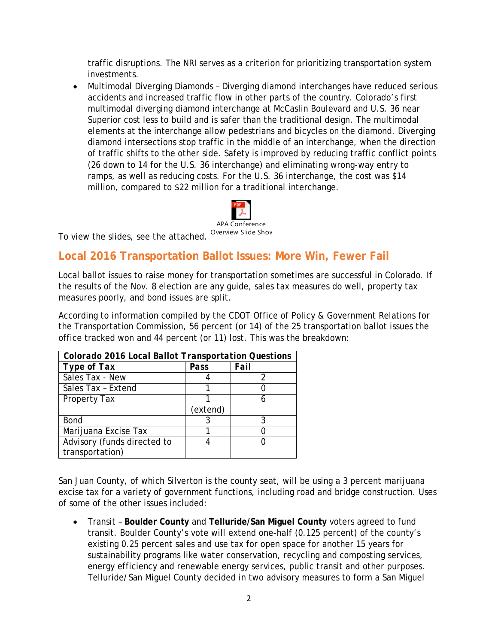traffic disruptions. The NRI serves as a criterion for prioritizing transportation system investments.

• Multimodal Diverging Diamonds – Diverging diamond interchanges have reduced serious accidents and increased traffic flow in other parts of the country. Colorado's first multimodal diverging diamond interchange at McCaslin Boulevard and U.S. 36 near Superior cost less to build and is safer than the traditional design. The multimodal elements at the interchange allow pedestrians and bicycles on the diamond. Diverging diamond intersections stop traffic in the middle of an interchange, when the direction of traffic shifts to the other side. Safety is improved by reducing traffic conflict points (26 down to 14 for the U.S. 36 interchange) and eliminating wrong-way entry to ramps, as well as reducing costs. For the U.S. 36 interchange, the cost was \$14 million, compared to \$22 million for a traditional interchange.



To view the slides, see the attached. Overview Slide Show

#### **Local 2016 Transportation Ballot Issues: More Win, Fewer Fail**

Local ballot issues to raise money for transportation sometimes are successful in Colorado. If the results of the Nov. 8 election are any guide, sales tax measures do well, property tax measures poorly, and bond issues are split.

According to information compiled by the CDOT Office of Policy & Government Relations for the Transportation Commission, 56 percent (or 14) of the 25 transportation ballot issues the office tracked won and 44 percent (or 11) lost. This was the breakdown:

| Colorado 2016 Local Ballot Transportation Questions |          |      |
|-----------------------------------------------------|----------|------|
| Type of Tax                                         | Pass     | Fail |
| Sales Tax - New                                     |          |      |
| Sales Tax - Extend                                  |          |      |
| <b>Property Tax</b>                                 |          |      |
|                                                     | (extend) |      |
| Bond                                                |          |      |
| Marijuana Excise Tax                                |          |      |
| Advisory (funds directed to                         |          |      |
| transportation)                                     |          |      |

San Juan County, of which Silverton is the county seat, will be using a 3 percent marijuana excise tax for a variety of government functions, including road and bridge construction. Uses of some of the other issues included:

• Transit – **Boulder County** and **Telluride/San Miguel County** voters agreed to fund transit. Boulder County's vote will extend one-half (0.125 percent) of the county's existing 0.25 percent sales and use tax for open space for another 15 years for sustainability programs like water conservation, recycling and composting services, energy efficiency and renewable energy services, public transit and other purposes. Telluride/San Miguel County decided in two advisory measures to form a San Miguel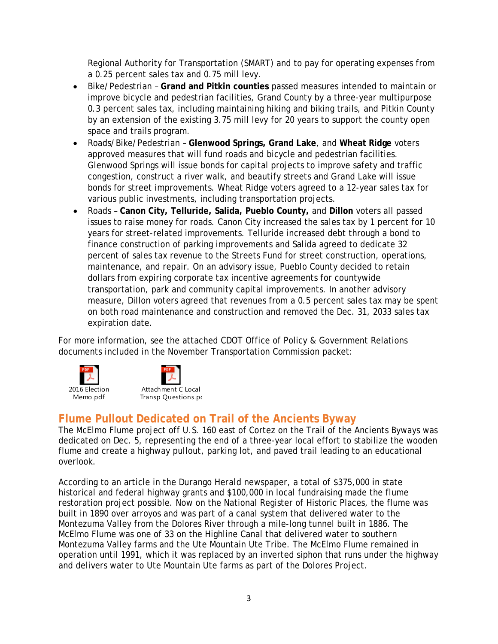Regional Authority for Transportation (SMART) and to pay for operating expenses from a 0.25 percent sales tax and 0.75 mill levy.

- Bike/Pedestrian **Grand and Pitkin counties** passed measures intended to maintain or improve bicycle and pedestrian facilities, Grand County by a three-year multipurpose 0.3 percent sales tax, including maintaining hiking and biking trails, and Pitkin County by an extension of the existing 3.75 mill levy for 20 years to support the county open space and trails program.
- Roads/Bike/Pedestrian **Glenwood Springs, Grand Lake**, and **Wheat Ridge** voters approved measures that will fund roads and bicycle and pedestrian facilities. Glenwood Springs will issue bonds for capital projects to improve safety and traffic congestion, construct a river walk, and beautify streets and Grand Lake will issue bonds for street improvements. Wheat Ridge voters agreed to a 12-year sales tax for various public investments, including transportation projects.
- Roads **Canon City, Telluride, Salida, Pueblo County,** and **Dillon** voters all passed issues to raise money for roads. Canon City increased the sales tax by 1 percent for 10 years for street-related improvements. Telluride increased debt through a bond to finance construction of parking improvements and Salida agreed to dedicate 32 percent of sales tax revenue to the Streets Fund for street construction, operations, maintenance, and repair. On an advisory issue, Pueblo County decided to retain dollars from expiring corporate tax incentive agreements for countywide transportation, park and community capital improvements. In another advisory measure, Dillon voters agreed that revenues from a 0.5 percent sales tax may be spent on both road maintenance and construction and removed the Dec. 31, 2033 sales tax expiration date.

For more information, see the attached CDOT Office of Policy & Government Relations documents included in the November Transportation Commission packet:





Transp Questions.pd

### **Flume Pullout Dedicated on Trail of the Ancients Byway**

The McElmo Flume project off U.S. 160 east of Cortez on the Trail of the Ancients Byways was dedicated on Dec. 5, representing the end of a three-year local effort to stabilize the wooden flume and create a highway pullout, parking lot, and paved trail leading to an educational overlook.

According to an article in the *Durango Herald* newspaper, a total of \$375,000 in state historical and federal highway grants and \$100,000 in local fundraising made the flume restoration project possible. Now on the National Register of Historic Places, the flume was built in 1890 over arroyos and was part of a canal system that delivered water to the Montezuma Valley from the Dolores River through a mile-long tunnel built in 1886. The McElmo Flume was one of 33 on the Highline Canal that delivered water to southern Montezuma Valley farms and the Ute Mountain Ute Tribe. The McElmo Flume remained in operation until 1991, which it was replaced by an inverted siphon that runs under the highway and delivers water to Ute Mountain Ute farms as part of the Dolores Project.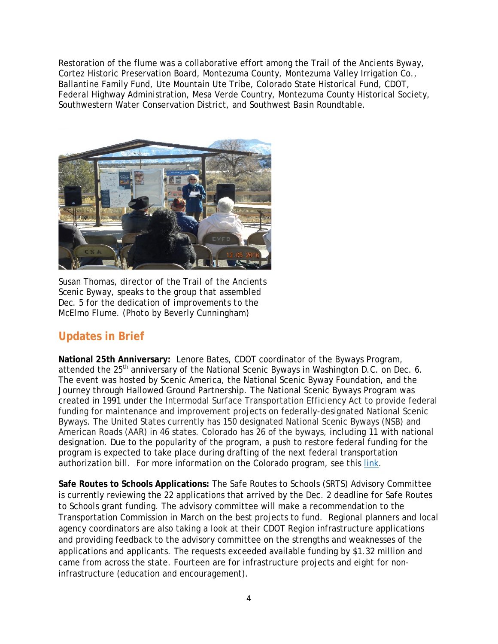Restoration of the flume was a collaborative effort among the Trail of the Ancients Byway, Cortez Historic Preservation Board, Montezuma County, Montezuma Valley Irrigation Co., Ballantine Family Fund, Ute Mountain Ute Tribe, Colorado State Historical Fund, CDOT, Federal Highway Administration, Mesa Verde Country, Montezuma County Historical Society, Southwestern Water Conservation District, and Southwest Basin Roundtable.



*Susan Thomas, director of the Trail of the Ancients Scenic Byway, speaks to the group that assembled Dec. 5 for the dedication of improvements to the McElmo Flume. (Photo by Beverly Cunningham)*

### **Updates in Brief**

**National 25th Anniversary:** Lenore Bates, CDOT coordinator of the Byways Program, attended the 25<sup>th</sup> anniversary of the National Scenic Byways in Washington D.C. on Dec. 6. The event was hosted by Scenic America, the National Scenic Byway Foundation, and the Journey through Hallowed Ground Partnership. The National Scenic Byways Program was created in 1991 under the Intermodal Surface Transportation Efficiency Act to provide federal funding for maintenance and improvement projects on federally-designated National Scenic Byways. The United States currently has 150 designated National Scenic Byways (NSB) and American Roads (AAR) in 46 states. Colorado has 26 of the byways, including 11 with national designation. Due to the popularity of the program, a push to restore federal funding for the program is expected to take place during drafting of the next federal transportation authorization bill. For more information on the Colorado program, see this [link.](http://www.coloradobyways.org/)

**Safe Routes to Schools Applications:** The Safe Routes to Schools (SRTS) Advisory Committee is currently reviewing the 22 applications that arrived by the Dec. 2 deadline for Safe Routes to Schools grant funding. The advisory committee will make a recommendation to the Transportation Commission in March on the best projects to fund. Regional planners and local agency coordinators are also taking a look at their CDOT Region infrastructure applications and providing feedback to the advisory committee on the strengths and weaknesses of the applications and applicants. The requests exceeded available funding by \$1.32 million and came from across the state. Fourteen are for infrastructure projects and eight for noninfrastructure (education and encouragement).